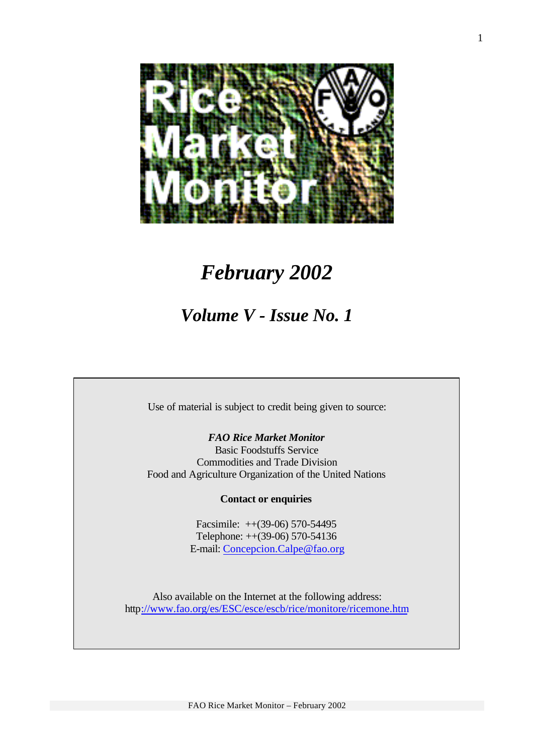

# *February 2002*

# *Volume V - Issue No. 1*

Use of material is subject to credit being given to source:

*FAO Rice Market Monitor* Basic Foodstuffs Service Commodities and Trade Division Food and Agriculture Organization of the United Nations

**Contact or enquiries**

Facsimile: ++(39-06) 570-54495 Telephone: ++(39-06) 570-54136 E-mail: Concepcion.Calpe@fao.org

Also available on the Internet at the following address: http://www.fao.org/es/ESC/esce/escb/rice/monitore/ricemone.htm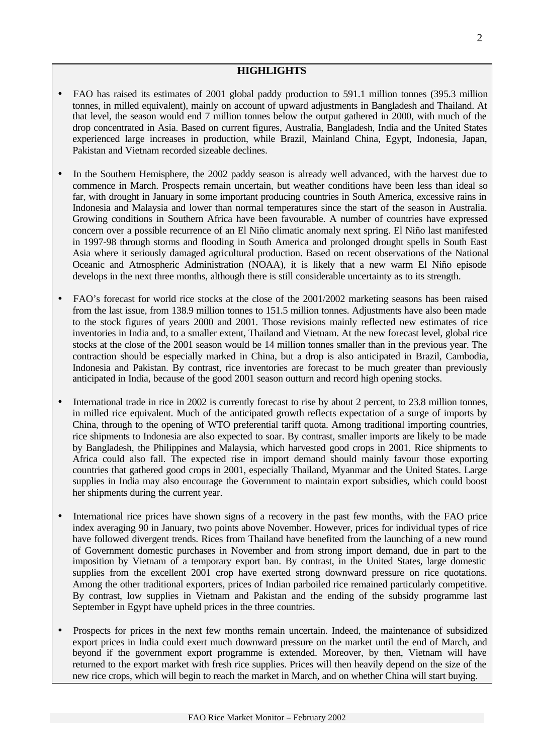# **HIGHLIGHTS**

- FAO has raised its estimates of 2001 global paddy production to 591.1 million tonnes (395.3 million tonnes, in milled equivalent), mainly on account of upward adjustments in Bangladesh and Thailand. At that level, the season would end 7 million tonnes below the output gathered in 2000, with much of the drop concentrated in Asia. Based on current figures, Australia, Bangladesh, India and the United States experienced large increases in production, while Brazil, Mainland China, Egypt, Indonesia, Japan, Pakistan and Vietnam recorded sizeable declines.
- In the Southern Hemisphere, the 2002 paddy season is already well advanced, with the harvest due to commence in March. Prospects remain uncertain, but weather conditions have been less than ideal so far, with drought in January in some important producing countries in South America, excessive rains in Indonesia and Malaysia and lower than normal temperatures since the start of the season in Australia. Growing conditions in Southern Africa have been favourable. A number of countries have expressed concern over a possible recurrence of an El Niño climatic anomaly next spring. El Niño last manifested in 1997-98 through storms and flooding in South America and prolonged drought spells in South East Asia where it seriously damaged agricultural production. Based on recent observations of the National Oceanic and Atmospheric Administration (NOAA), it is likely that a new warm El Niño episode develops in the next three months, although there is still considerable uncertainty as to its strength.
- FAO's forecast for world rice stocks at the close of the 2001/2002 marketing seasons has been raised from the last issue, from 138.9 million tonnes to 151.5 million tonnes. Adjustments have also been made to the stock figures of years 2000 and 2001. Those revisions mainly reflected new estimates of rice inventories in India and, to a smaller extent, Thailand and Vietnam. At the new forecast level, global rice stocks at the close of the 2001 season would be 14 million tonnes smaller than in the previous year. The contraction should be especially marked in China, but a drop is also anticipated in Brazil, Cambodia, Indonesia and Pakistan. By contrast, rice inventories are forecast to be much greater than previously anticipated in India, because of the good 2001 season outturn and record high opening stocks.
- International trade in rice in 2002 is currently forecast to rise by about 2 percent, to 23.8 million tonnes, in milled rice equivalent. Much of the anticipated growth reflects expectation of a surge of imports by China, through to the opening of WTO preferential tariff quota. Among traditional importing countries, rice shipments to Indonesia are also expected to soar. By contrast, smaller imports are likely to be made by Bangladesh, the Philippines and Malaysia, which harvested good crops in 2001. Rice shipments to Africa could also fall. The expected rise in import demand should mainly favour those exporting countries that gathered good crops in 2001, especially Thailand, Myanmar and the United States. Large supplies in India may also encourage the Government to maintain export subsidies, which could boost her shipments during the current year.
- International rice prices have shown signs of a recovery in the past few months, with the FAO price index averaging 90 in January, two points above November. However, prices for individual types of rice have followed divergent trends. Rices from Thailand have benefited from the launching of a new round of Government domestic purchases in November and from strong import demand, due in part to the imposition by Vietnam of a temporary export ban. By contrast, in the United States, large domestic supplies from the excellent 2001 crop have exerted strong downward pressure on rice quotations. Among the other traditional exporters, prices of Indian parboiled rice remained particularly competitive. By contrast, low supplies in Vietnam and Pakistan and the ending of the subsidy programme last September in Egypt have upheld prices in the three countries.
- Prospects for prices in the next few months remain uncertain. Indeed, the maintenance of subsidized export prices in India could exert much downward pressure on the market until the end of March, and beyond if the government export programme is extended. Moreover, by then, Vietnam will have returned to the export market with fresh rice supplies. Prices will then heavily depend on the size of the new rice crops, which will begin to reach the market in March, and on whether China will start buying.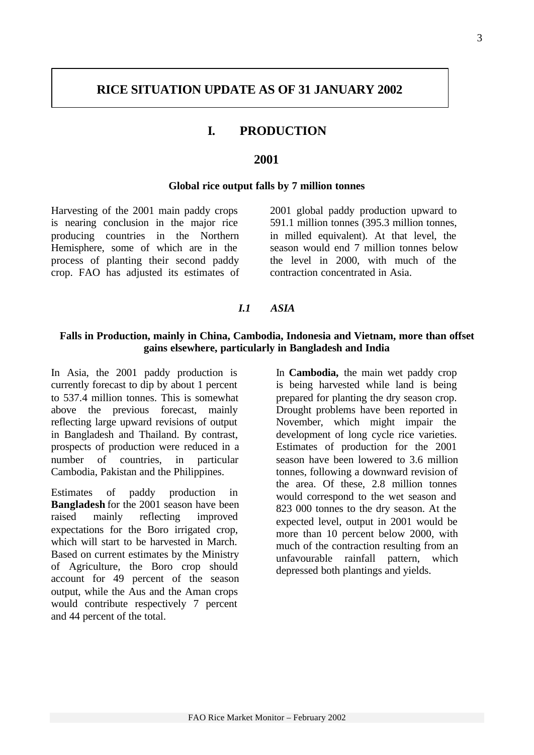# **RICE SITUATION UPDATE AS OF 31 JANUARY 2002**

# **I. PRODUCTION**

### **2001**

#### **Global rice output falls by 7 million tonnes**

Harvesting of the 2001 main paddy crops is nearing conclusion in the major rice producing countries in the Northern Hemisphere, some of which are in the process of planting their second paddy crop. FAO has adjusted its estimates of 2001 global paddy production upward to 591.1 million tonnes (395.3 million tonnes, in milled equivalent). At that level, the season would end 7 million tonnes below the level in 2000, with much of the contraction concentrated in Asia.

#### *I.1 ASIA*

#### **Falls in Production, mainly in China, Cambodia, Indonesia and Vietnam, more than offset gains elsewhere, particularly in Bangladesh and India**

In Asia, the 2001 paddy production is currently forecast to dip by about 1 percent to 537.4 million tonnes. This is somewhat above the previous forecast, mainly reflecting large upward revisions of output in Bangladesh and Thailand. By contrast, prospects of production were reduced in a number of countries, in particular Cambodia, Pakistan and the Philippines.

Estimates of paddy production in **Bangladesh** for the 2001 season have been raised mainly reflecting improved expectations for the Boro irrigated crop, which will start to be harvested in March. Based on current estimates by the Ministry of Agriculture, the Boro crop should account for 49 percent of the season output, while the Aus and the Aman crops would contribute respectively 7 percent and 44 percent of the total.

In **Cambodia,** the main wet paddy crop is being harvested while land is being prepared for planting the dry season crop. Drought problems have been reported in November, which might impair the development of long cycle rice varieties. Estimates of production for the 2001 season have been lowered to 3.6 million tonnes, following a downward revision of the area. Of these, 2.8 million tonnes would correspond to the wet season and 823 000 tonnes to the dry season. At the expected level, output in 2001 would be more than 10 percent below 2000, with much of the contraction resulting from an unfavourable rainfall pattern, which depressed both plantings and yields.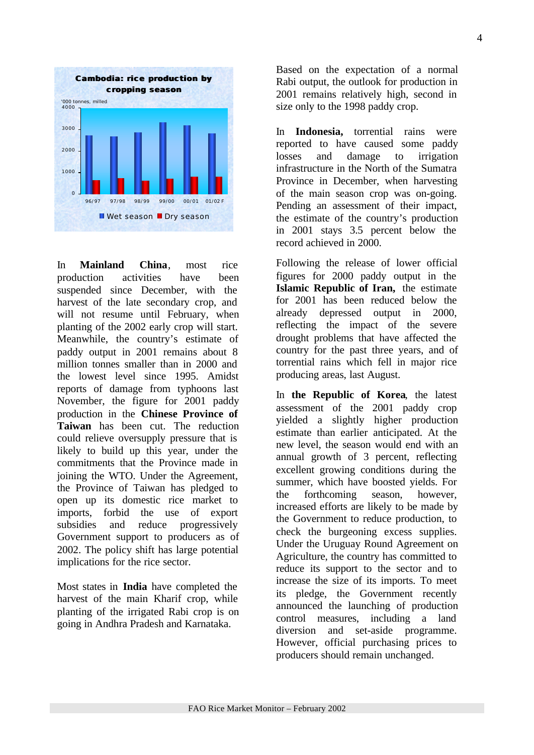

In **Mainland China**, most rice production activities have been suspended since December, with the harvest of the late secondary crop, and will not resume until February, when planting of the 2002 early crop will start. Meanwhile, the country's estimate of paddy output in 2001 remains about 8 million tonnes smaller than in 2000 and the lowest level since 1995. Amidst reports of damage from typhoons last November, the figure for 2001 paddy production in the **Chinese Province of Taiwan** has been cut. The reduction could relieve oversupply pressure that is likely to build up this year, under the commitments that the Province made in joining the WTO. Under the Agreement, the Province of Taiwan has pledged to open up its domestic rice market to imports, forbid the use of export subsidies and reduce progressively Government support to producers as of 2002. The policy shift has large potential implications for the rice sector.

Most states in **India** have completed the harvest of the main Kharif crop, while planting of the irrigated Rabi crop is on going in Andhra Pradesh and Karnataka.

Based on the expectation of a normal Rabi output, the outlook for production in 2001 remains relatively high, second in size only to the 1998 paddy crop.

In **Indonesia,** torrential rains were reported to have caused some paddy losses and damage to irrigation infrastructure in the North of the Sumatra Province in December, when harvesting of the main season crop was on-going. Pending an assessment of their impact, the estimate of the country's production in 2001 stays 3.5 percent below the record achieved in 2000.

Following the release of lower official figures for 2000 paddy output in the **Islamic Republic of Iran,** the estimate for 2001 has been reduced below the already depressed output in 2000, reflecting the impact of the severe drought problems that have affected the country for the past three years, and of torrential rains which fell in major rice producing areas, last August.

In **the Republic of Korea**, the latest assessment of the 2001 paddy crop yielded a slightly higher production estimate than earlier anticipated. At the new level, the season would end with an annual growth of 3 percent, reflecting excellent growing conditions during the summer, which have boosted yields. For the forthcoming season, however, increased efforts are likely to be made by the Government to reduce production, to check the burgeoning excess supplies. Under the Uruguay Round Agreement on Agriculture, the country has committed to reduce its support to the sector and to increase the size of its imports. To meet its pledge, the Government recently announced the launching of production control measures, including a land diversion and set-aside programme. However, official purchasing prices to producers should remain unchanged.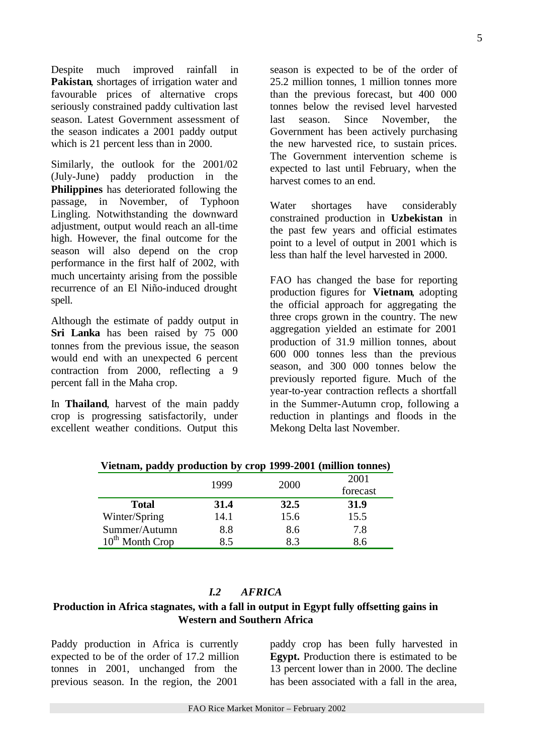Despite much improved rainfall in **Pakistan**, shortages of irrigation water and favourable prices of alternative crops seriously constrained paddy cultivation last season. Latest Government assessment of the season indicates a 2001 paddy output which is 21 percent less than in 2000.

Similarly, the outlook for the 2001/02 (July-June) paddy production in the **Philippines** has deteriorated following the passage, in November, of Typhoon Lingling. Notwithstanding the downward adjustment, output would reach an all-time high. However, the final outcome for the season will also depend on the crop performance in the first half of 2002, with much uncertainty arising from the possible recurrence of an El Niño-induced drought spell.

Although the estimate of paddy output in **Sri Lanka** has been raised by 75 000 tonnes from the previous issue, the season would end with an unexpected 6 percent contraction from 2000, reflecting a 9 percent fall in the Maha crop.

In **Thailand**, harvest of the main paddy crop is progressing satisfactorily, under excellent weather conditions. Output this

season is expected to be of the order of 25.2 million tonnes, 1 million tonnes more than the previous forecast, but 400 000 tonnes below the revised level harvested last season. Since November, the Government has been actively purchasing the new harvested rice, to sustain prices. The Government intervention scheme is expected to last until February, when the harvest comes to an end.

Water shortages have considerably constrained production in **Uzbekistan** in the past few years and official estimates point to a level of output in 2001 which is less than half the level harvested in 2000.

FAO has changed the base for reporting production figures for **Vietnam**, adopting the official approach for aggregating the three crops grown in the country. The new aggregation yielded an estimate for 2001 production of 31.9 million tonnes, about 600 000 tonnes less than the previous season, and 300 000 tonnes below the previously reported figure. Much of the year-to-year contraction reflects a shortfall in the Summer-Autumn crop, following a reduction in plantings and floods in the Mekong Delta last November.

| victimum, patroy production by crop 1777-2001 (immion tonnes) |      |      |          |
|---------------------------------------------------------------|------|------|----------|
|                                                               | 1999 | 2000 | 2001     |
|                                                               |      |      | forecast |
| <b>Total</b>                                                  | 31.4 | 32.5 | 31.9     |
| Winter/Spring                                                 | 14.1 | 15.6 | 15.5     |
| Summer/Autumn                                                 | 8.8  | 8.6  | 7.8      |
| $10^{th}$ Month Crop                                          | 8.5  | 8.3  | 8.6      |

**Vietnam, paddy production by crop 1999-2001 (million tonnes)**

# *I.2 AFRICA*

# **Production in Africa stagnates, with a fall in output in Egypt fully offsetting gains in Western and Southern Africa**

Paddy production in Africa is currently expected to be of the order of 17.2 million tonnes in 2001, unchanged from the previous season. In the region, the 2001

paddy crop has been fully harvested in **Egypt.** Production there is estimated to be 13 percent lower than in 2000. The decline has been associated with a fall in the area,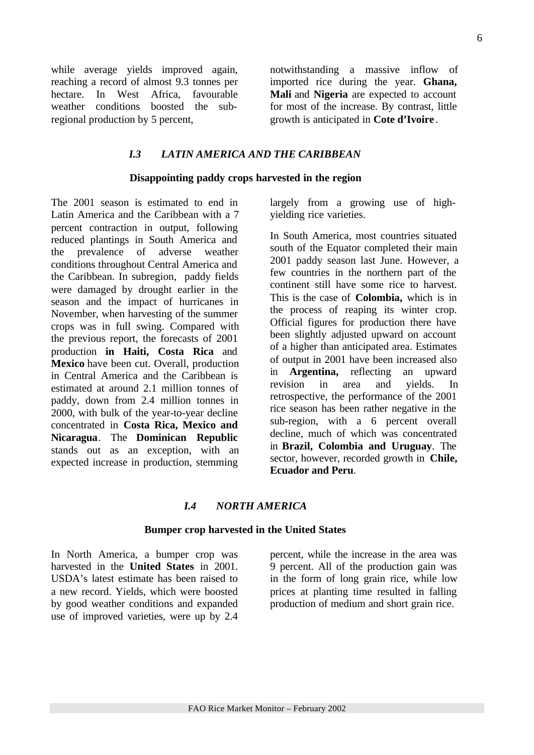while average yields improved again, reaching a record of almost 9.3 tonnes per hectare. In West Africa, favourable weather conditions boosted the subregional production by 5 percent,

notwithstanding a massive inflow of imported rice during the year. **Ghana, Mali** and **Nigeria** are expected to account for most of the increase. By contrast, little growth is anticipated in **Cote d'Ivoire** .

# *I.3 LATIN AMERICA AND THE CARIBBEAN*

#### **Disappointing paddy crops harvested in the region**

The 2001 season is estimated to end in Latin America and the Caribbean with a 7 percent contraction in output, following reduced plantings in South America and the prevalence of adverse weather conditions throughout Central America and the Caribbean. In subregion, paddy fields were damaged by drought earlier in the season and the impact of hurricanes in November, when harvesting of the summer crops was in full swing. Compared with the previous report, the forecasts of 2001 production **in Haiti, Costa Rica** and **Mexico** have been cut. Overall, production in Central America and the Caribbean is estimated at around 2.1 million tonnes of paddy, down from 2.4 million tonnes in 2000, with bulk of the year-to-year decline concentrated in **Costa Rica, Mexico and Nicaragua**. The **Dominican Republic** stands out as an exception, with an expected increase in production, stemming

largely from a growing use of highyielding rice varieties.

In South America, most countries situated south of the Equator completed their main 2001 paddy season last June. However, a few countries in the northern part of the continent still have some rice to harvest. This is the case of **Colombia,** which is in the process of reaping its winter crop. Official figures for production there have been slightly adjusted upward on account of a higher than anticipated area. Estimates of output in 2001 have been increased also in **Argentina,** reflecting an upward revision in area and yields. In retrospective, the performance of the 2001 rice season has been rather negative in the sub-region, with a 6 percent overall decline, much of which was concentrated in **Brazil, Colombia and Uruguay**. The sector, however, recorded growth in **Chile, Ecuador and Peru**.

#### *I.4 NORTH AMERICA*

#### **Bumper crop harvested in the United States**

In North America, a bumper crop was harvested in the **United States** in 2001. USDA's latest estimate has been raised to a new record. Yields, which were boosted by good weather conditions and expanded use of improved varieties, were up by 2.4

percent, while the increase in the area was 9 percent. All of the production gain was in the form of long grain rice, while low prices at planting time resulted in falling production of medium and short grain rice.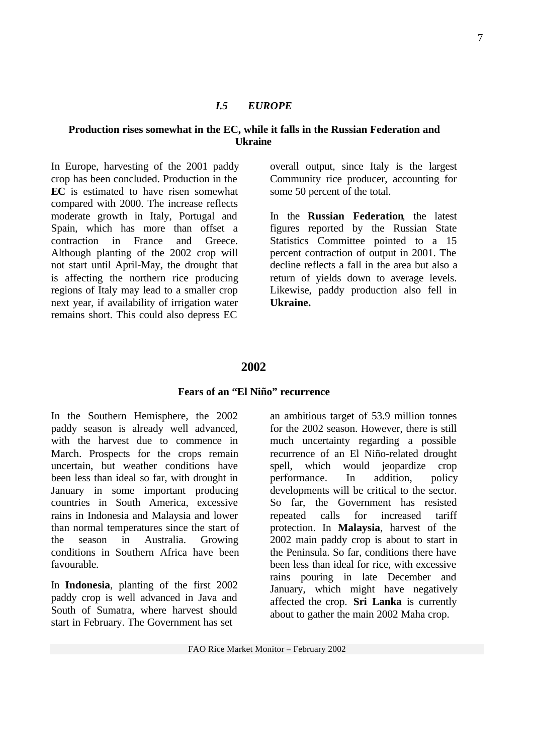#### *I.5 EUROPE*

#### **Production rises somewhat in the EC, while it falls in the Russian Federation and Ukraine**

In Europe, harvesting of the 2001 paddy crop has been concluded. Production in the **EC** is estimated to have risen somewhat compared with 2000. The increase reflects moderate growth in Italy, Portugal and Spain, which has more than offset a contraction in France and Greece. Although planting of the 2002 crop will not start until April-May, the drought that is affecting the northern rice producing regions of Italy may lead to a smaller crop next year, if availability of irrigation water remains short. This could also depress EC

overall output, since Italy is the largest Community rice producer, accounting for some 50 percent of the total.

In the **Russian Federation**, the latest figures reported by the Russian State Statistics Committee pointed to a 15 percent contraction of output in 2001. The decline reflects a fall in the area but also a return of yields down to average levels. Likewise, paddy production also fell in **Ukraine.**

#### **2002**

### **Fears of an "El Niño" recurrence**

In the Southern Hemisphere, the 2002 paddy season is already well advanced, with the harvest due to commence in March. Prospects for the crops remain uncertain, but weather conditions have been less than ideal so far, with drought in January in some important producing countries in South America, excessive rains in Indonesia and Malaysia and lower than normal temperatures since the start of the season in Australia. Growing conditions in Southern Africa have been favourable.

In **Indonesia**, planting of the first 2002 paddy crop is well advanced in Java and South of Sumatra, where harvest should start in February. The Government has set

an ambitious target of 53.9 million tonnes for the 2002 season. However, there is still much uncertainty regarding a possible recurrence of an El Niño-related drought spell, which would jeopardize crop performance. In addition, policy developments will be critical to the sector. So far, the Government has resisted repeated calls for increased tariff protection. In **Malaysia**, harvest of the 2002 main paddy crop is about to start in the Peninsula. So far, conditions there have been less than ideal for rice, with excessive rains pouring in late December and January, which might have negatively affected the crop. **Sri Lanka** is currently about to gather the main 2002 Maha crop.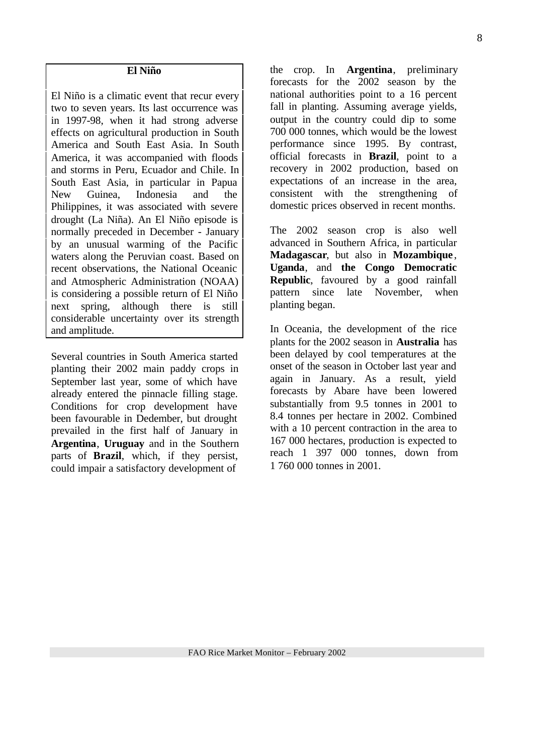#### **El Niño**

El Niño is a climatic event that recur every two to seven years. Its last occurrence was in 1997-98, when it had strong adverse effects on agricultural production in South America and South East Asia. In South America, it was accompanied with floods and storms in Peru, Ecuador and Chile. In South East Asia, in particular in Papua New Guinea, Indonesia and the Philippines, it was associated with severe drought (La Niña). An El Niño episode is normally preceded in December - January by an unusual warming of the Pacific waters along the Peruvian coast. Based on recent observations, the National Oceanic and Atmospheric Administration (NOAA) is considering a possible return of El Niño next spring, although there is still considerable uncertainty over its strength and amplitude.

Several countries in South America started planting their 2002 main paddy crops in September last year, some of which have already entered the pinnacle filling stage. Conditions for crop development have been favourable in Dedember, but drought prevailed in the first half of January in **Argentina**, **Uruguay** and in the Southern parts of **Brazil**, which, if they persist, could impair a satisfactory development of

the crop. In **Argentina**, preliminary forecasts for the 2002 season by the national authorities point to a 16 percent fall in planting. Assuming average yields, output in the country could dip to some 700 000 tonnes, which would be the lowest performance since 1995. By contrast, official forecasts in **Brazil**, point to a recovery in 2002 production, based on expectations of an increase in the area, consistent with the strengthening of domestic prices observed in recent months.

The 2002 season crop is also well advanced in Southern Africa, in particular **Madagascar**, but also in **Mozambique** , **Uganda**, and **the Congo Democratic Republic**, favoured by a good rainfall pattern since late November, when planting began.

In Oceania, the development of the rice plants for the 2002 season in **Australia** has been delayed by cool temperatures at the onset of the season in October last year and again in January. As a result, yield forecasts by Abare have been lowered substantially from 9.5 tonnes in 2001 to 8.4 tonnes per hectare in 2002. Combined with a 10 percent contraction in the area to 167 000 hectares, production is expected to reach 1 397 000 tonnes, down from 1 760 000 tonnes in 2001.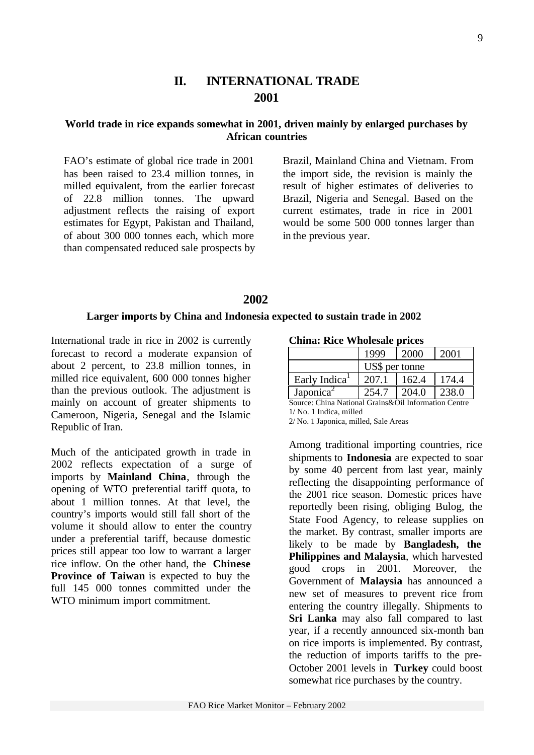# **II. INTERNATIONAL TRADE 2001**

# **World trade in rice expands somewhat in 2001, driven mainly by enlarged purchases by African countries**

FAO's estimate of global rice trade in 2001 has been raised to 23.4 million tonnes, in milled equivalent, from the earlier forecast of 22.8 million tonnes. The upward adjustment reflects the raising of export estimates for Egypt, Pakistan and Thailand, of about 300 000 tonnes each, which more than compensated reduced sale prospects by Brazil, Mainland China and Vietnam. From the import side, the revision is mainly the result of higher estimates of deliveries to Brazil, Nigeria and Senegal. Based on the current estimates, trade in rice in 2001 would be some 500 000 tonnes larger than in the previous year.

# **2002**

#### **Larger imports by China and Indonesia expected to sustain trade in 2002**

International trade in rice in 2002 is currently forecast to record a moderate expansion of about 2 percent, to 23.8 million tonnes, in milled rice equivalent, 600 000 tonnes higher than the previous outlook. The adjustment is mainly on account of greater shipments to Cameroon, Nigeria, Senegal and the Islamic Republic of Iran.

Much of the anticipated growth in trade in 2002 reflects expectation of a surge of imports by **Mainland China**, through the opening of WTO preferential tariff quota, to about 1 million tonnes. At that level, the country's imports would still fall short of the volume it should allow to enter the country under a preferential tariff, because domestic prices still appear too low to warrant a larger rice inflow. On the other hand, the **Chinese Province of Taiwan** is expected to buy the full 145 000 tonnes committed under the WTO minimum import commitment.

**China: Rice Wholesale prices**

|                           | 1999           | 2000  |       |
|---------------------------|----------------|-------|-------|
|                           | US\$ per tonne |       |       |
| Early Indica <sup>1</sup> | 207.1          | 162.4 | 174.4 |
| Japonica <sup>2</sup>     |                | 204.0 | 238.0 |

Source: China National Grains&Oil Information Centre 1/ No. 1 Indica, milled

2/ No. 1 Japonica, milled, Sale Areas

Among traditional importing countries, rice shipments to **Indonesia** are expected to soar by some 40 percent from last year, mainly reflecting the disappointing performance of the 2001 rice season. Domestic prices have reportedly been rising, obliging Bulog, the State Food Agency, to release supplies on the market. By contrast, smaller imports are likely to be made by **Bangladesh, the Philippines and Malaysia**, which harvested good crops in 2001. Moreover, the Government of **Malaysia** has announced a new set of measures to prevent rice from entering the country illegally. Shipments to **Sri Lanka** may also fall compared to last year, if a recently announced six-month ban on rice imports is implemented. By contrast, the reduction of imports tariffs to the pre-October 2001 levels in **Turkey** could boost somewhat rice purchases by the country.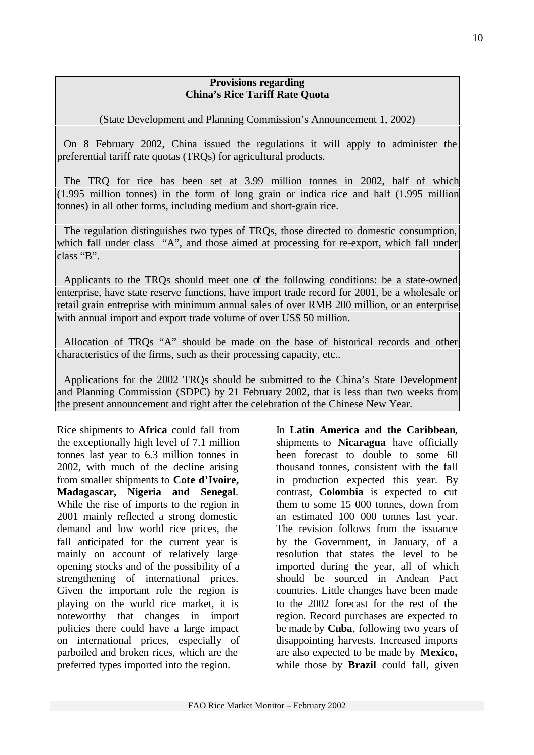#### **Provisions regarding China's Rice Tariff Rate Quota**

(State Development and Planning Commission's Announcement 1, 2002)

On 8 February 2002, China issued the regulations it will apply to administer the preferential tariff rate quotas (TRQs) for agricultural products.

The TRQ for rice has been set at 3.99 million tonnes in 2002, half of which (1.995 million tonnes) in the form of long grain or indica rice and half (1.995 million tonnes) in all other forms, including medium and short-grain rice.

The regulation distinguishes two types of TRQs, those directed to domestic consumption, which fall under class "A", and those aimed at processing for re-export, which fall under class "B".

Applicants to the TRQs should meet one of the following conditions: be a state-owned enterprise, have state reserve functions, have import trade record for 2001, be a wholesale or retail grain entreprise with minimum annual sales of over RMB 200 million, or an enterprise with annual import and export trade volume of over US\$ 50 million.

Allocation of TRQs "A" should be made on the base of historical records and other characteristics of the firms, such as their processing capacity, etc..

Applications for the 2002 TRQs should be submitted to the China's State Development and Planning Commission (SDPC) by 21 February 2002, that is less than two weeks from the present announcement and right after the celebration of the Chinese New Year.

Rice shipments to **Africa** could fall from the exceptionally high level of 7.1 million tonnes last year to 6.3 million tonnes in 2002, with much of the decline arising from smaller shipments to **Cote d'Ivoire, Madagascar, Nigeria and Senegal**. While the rise of imports to the region in 2001 mainly reflected a strong domestic demand and low world rice prices, the fall anticipated for the current year is mainly on account of relatively large opening stocks and of the possibility of a strengthening of international prices. Given the important role the region is playing on the world rice market, it is noteworthy that changes in import policies there could have a large impact on international prices, especially of parboiled and broken rices, which are the preferred types imported into the region.

In **Latin America and the Caribbean**, shipments to **Nicaragua** have officially been forecast to double to some 60 thousand tonnes, consistent with the fall in production expected this year. By contrast, **Colombia** is expected to cut them to some 15 000 tonnes, down from an estimated 100 000 tonnes last year. The revision follows from the issuance by the Government, in January, of a resolution that states the level to be imported during the year, all of which should be sourced in Andean Pact countries. Little changes have been made to the 2002 forecast for the rest of the region. Record purchases are expected to be made by **Cuba**, following two years of disappointing harvests. Increased imports are also expected to be made by **Mexico,** while those by **Brazil** could fall, given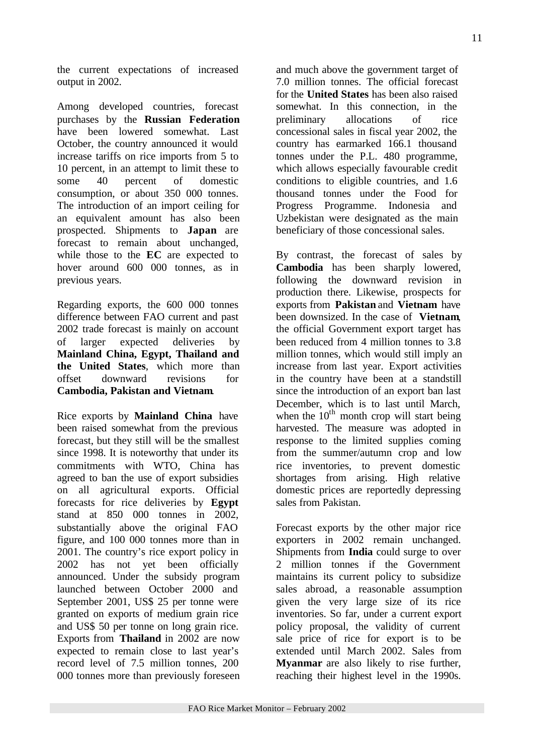the current expectations of increased output in 2002.

Among developed countries, forecast purchases by the **Russian Federation** have been lowered somewhat. Last October, the country announced it would increase tariffs on rice imports from 5 to 10 percent, in an attempt to limit these to some 40 percent of domestic consumption, or about 350 000 tonnes. The introduction of an import ceiling for an equivalent amount has also been prospected. Shipments to **Japan** are forecast to remain about unchanged, while those to the **EC** are expected to hover around 600 000 tonnes, as in previous years.

Regarding exports, the 600 000 tonnes difference between FAO current and past 2002 trade forecast is mainly on account of larger expected deliveries by **Mainland China, Egypt, Thailand and the United States**, which more than offset downward revisions for **Cambodia, Pakistan and Vietnam**.

Rice exports by **Mainland China** have been raised somewhat from the previous forecast, but they still will be the smallest since 1998. It is noteworthy that under its commitments with WTO, China has agreed to ban the use of export subsidies on all agricultural exports. Official forecasts for rice deliveries by **Egypt** stand at 850 000 tonnes in 2002, substantially above the original FAO figure, and 100 000 tonnes more than in 2001. The country's rice export policy in 2002 has not yet been officially announced. Under the subsidy program launched between October 2000 and September 2001, US\$ 25 per tonne were granted on exports of medium grain rice and US\$ 50 per tonne on long grain rice. Exports from **Thailand** in 2002 are now expected to remain close to last year's record level of 7.5 million tonnes, 200 000 tonnes more than previously foreseen and much above the government target of 7.0 million tonnes. The official forecast for the **United States** has been also raised somewhat. In this connection, in the preliminary allocations of rice concessional sales in fiscal year 2002, the country has earmarked 166.1 thousand tonnes under the P.L. 480 programme, which allows especially favourable credit conditions to eligible countries, and 1.6 thousand tonnes under the Food for Progress Programme. Indonesia and Uzbekistan were designated as the main beneficiary of those concessional sales.

By contrast, the forecast of sales by **Cambodia** has been sharply lowered, following the downward revision in production there. Likewise, prospects for exports from **Pakistan** and **Vietnam** have been downsized. In the case of **Vietnam**, the official Government export target has been reduced from 4 million tonnes to 3.8 million tonnes, which would still imply an increase from last year. Export activities in the country have been at a standstill since the introduction of an export ban last December, which is to last until March, when the  $10^{th}$  month crop will start being harvested. The measure was adopted in response to the limited supplies coming from the summer/autumn crop and low rice inventories, to prevent domestic shortages from arising. High relative domestic prices are reportedly depressing sales from Pakistan.

Forecast exports by the other major rice exporters in 2002 remain unchanged. Shipments from **India** could surge to over 2 million tonnes if the Government maintains its current policy to subsidize sales abroad, a reasonable assumption given the very large size of its rice inventories. So far, under a current export policy proposal, the validity of current sale price of rice for export is to be extended until March 2002. Sales from **Myanmar** are also likely to rise further, reaching their highest level in the 1990s.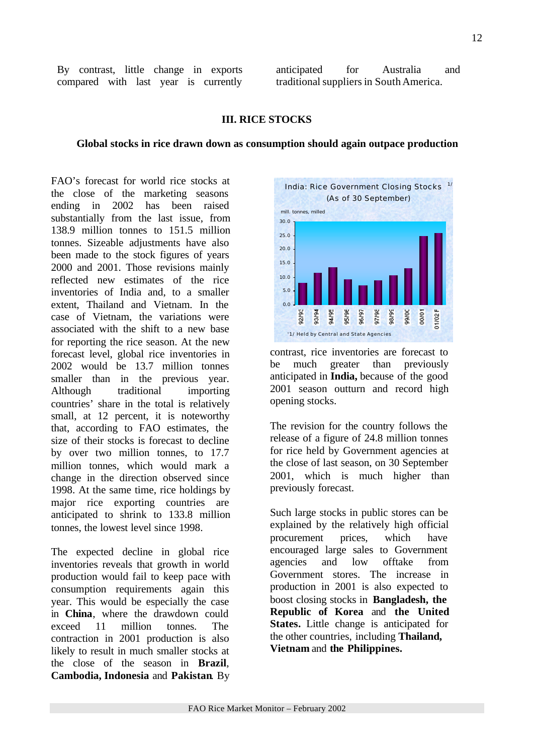By contrast, little change in exports compared with last year is currently

anticipated for Australia and traditional suppliers in South America.

#### **III. RICE STOCKS**

#### **Global stocks in rice drawn down as consumption should again outpace production**

FAO's forecast for world rice stocks at the close of the marketing seasons ending in 2002 has been raised substantially from the last issue, from 138.9 million tonnes to 151.5 million tonnes. Sizeable adjustments have also been made to the stock figures of years 2000 and 2001. Those revisions mainly reflected new estimates of the rice inventories of India and, to a smaller extent, Thailand and Vietnam. In the case of Vietnam, the variations were associated with the shift to a new base for reporting the rice season. At the new forecast level, global rice inventories in 2002 would be 13.7 million tonnes smaller than in the previous year. Although traditional importing countries' share in the total is relatively small, at 12 percent, it is noteworthy that, according to FAO estimates, the size of their stocks is forecast to decline by over two million tonnes, to 17.7 million tonnes, which would mark a change in the direction observed since 1998. At the same time, rice holdings by major rice exporting countries are anticipated to shrink to 133.8 million tonnes, the lowest level since 1998.

The expected decline in global rice inventories reveals that growth in world production would fail to keep pace with consumption requirements again this year. This would be especially the case in **China**, where the drawdown could exceed 11 million tonnes. The contraction in 2001 production is also likely to result in much smaller stocks at the close of the season in **Brazil**, **Cambodia, Indonesia** and **Pakistan**. By



contrast, rice inventories are forecast to be much greater than previously anticipated in **India,** because of the good 2001 season outturn and record high opening stocks.

The revision for the country follows the release of a figure of 24.8 million tonnes for rice held by Government agencies at the close of last season, on 30 September 2001, which is much higher than previously forecast.

Such large stocks in public stores can be explained by the relatively high official procurement prices, which have encouraged large sales to Government agencies and low offtake from Government stores. The increase in production in 2001 is also expected to boost closing stocks in **Bangladesh, the Republic of Korea** and **the United States.** Little change is anticipated for the other countries, including **Thailand, Vietnam** and **the Philippines.**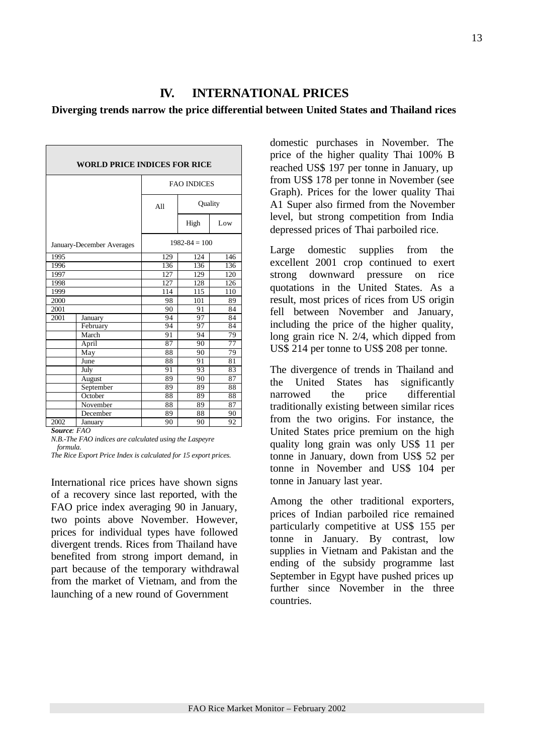## **IV. INTERNATIONAL PRICES**

#### **Diverging trends narrow the price differential between United States and Thailand rices**

| <b>WORLD PRICE INDICES FOR RICE</b> |                           |                    |                   |                 |  |  |  |  |
|-------------------------------------|---------------------------|--------------------|-------------------|-----------------|--|--|--|--|
|                                     |                           | <b>FAO INDICES</b> |                   |                 |  |  |  |  |
|                                     |                           | A11                | Quality           |                 |  |  |  |  |
|                                     |                           |                    | High              | Low             |  |  |  |  |
|                                     | January-December Averages |                    | $1982 - 84 = 100$ |                 |  |  |  |  |
| 1995                                |                           | 129                | 124               | 146             |  |  |  |  |
| 1996                                |                           | 136                | 136<br>136        |                 |  |  |  |  |
| 1997                                | 127<br>129<br>120         |                    |                   |                 |  |  |  |  |
| 1998                                |                           | 127                | 128               | 126             |  |  |  |  |
| 1999                                |                           | 114                | 115               | 110             |  |  |  |  |
| 2000                                |                           |                    | 101               | 89              |  |  |  |  |
| 2001                                |                           | 90                 | 91                | 84              |  |  |  |  |
| 2001                                | January                   | 94                 | 97                | 84              |  |  |  |  |
|                                     | February                  | 94                 | 97                | 84              |  |  |  |  |
|                                     | March                     | 91                 | 94                | 79              |  |  |  |  |
|                                     | April                     | 87                 | 90                | $\overline{77}$ |  |  |  |  |
|                                     | May                       | 88                 | 90                | 79              |  |  |  |  |
|                                     | June                      | 88                 | 91                | 81              |  |  |  |  |
|                                     | July                      | 91                 | 93                | 83              |  |  |  |  |
|                                     | August                    | 89                 | 90                | 87              |  |  |  |  |
|                                     | September                 | 89                 | 89                | 88              |  |  |  |  |
|                                     | October                   | 88                 | 89                | 88              |  |  |  |  |
|                                     | November                  | 88                 | 89                | 87              |  |  |  |  |
|                                     | December                  | 89                 | 88                | 90              |  |  |  |  |
| 2002                                | January                   | 90                 | 90                | 92              |  |  |  |  |

*Source: FAO*

*N.B.-The FAO indices are calculated using the Laspeyre formula.*

*The Rice Export Price Index is calculated for 15 export prices.*

International rice prices have shown signs of a recovery since last reported, with the FAO price index averaging 90 in January, two points above November. However, prices for individual types have followed divergent trends. Rices from Thailand have benefited from strong import demand, in part because of the temporary withdrawal from the market of Vietnam, and from the launching of a new round of Government

domestic purchases in November. The price of the higher quality Thai 100% B reached US\$ 197 per tonne in January, up from US\$ 178 per tonne in November (see Graph). Prices for the lower quality Thai A1 Super also firmed from the November level, but strong competition from India depressed prices of Thai parboiled rice.

Large domestic supplies from the excellent 2001 crop continued to exert strong downward pressure on rice quotations in the United States. As a result, most prices of rices from US origin fell between November and January, including the price of the higher quality, long grain rice N. 2/4, which dipped from US\$ 214 per tonne to US\$ 208 per tonne.

The divergence of trends in Thailand and the United States has significantly narrowed the price differential traditionally existing between similar rices from the two origins. For instance, the United States price premium on the high quality long grain was only US\$ 11 per tonne in January, down from US\$ 52 per tonne in November and US\$ 104 per tonne in January last year.

Among the other traditional exporters, prices of Indian parboiled rice remained particularly competitive at US\$ 155 per tonne in January. By contrast, low supplies in Vietnam and Pakistan and the ending of the subsidy programme last September in Egypt have pushed prices up further since November in the three countries.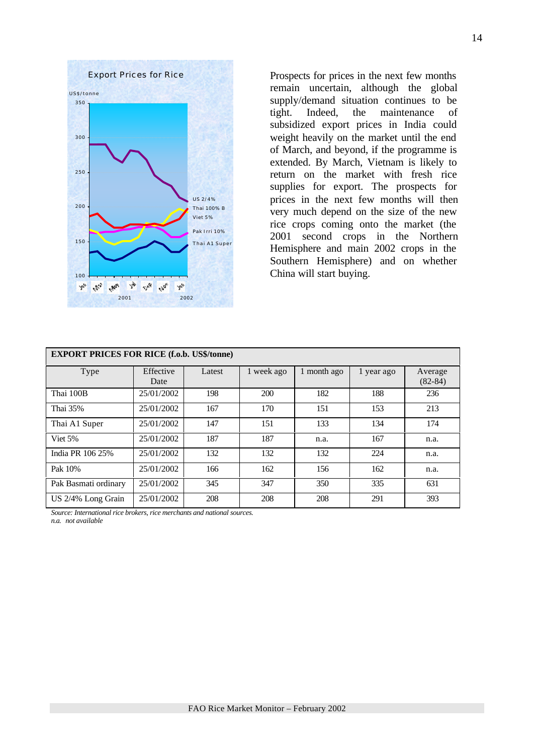

Prospects for prices in the next few months remain uncertain, although the global supply/demand situation continues to be tight. Indeed, the maintenance of subsidized export prices in India could weight heavily on the market until the end of March, and beyond, if the programme is extended. By March, Vietnam is likely to return on the market with fresh rice supplies for export. The prospects for prices in the next few months will then very much depend on the size of the new rice crops coming onto the market (the 2001 second crops in the Northern Hemisphere and main 2002 crops in the Southern Hemisphere) and on whether China will start buying.

| <b>EXPORT PRICES FOR RICE (f.o.b. US\$/tonne)</b> |                   |        |            |             |            |                        |  |  |
|---------------------------------------------------|-------------------|--------|------------|-------------|------------|------------------------|--|--|
| Type                                              | Effective<br>Date | Latest | 1 week ago | 1 month ago | 1 year ago | Average<br>$(82 - 84)$ |  |  |
| Thai 100B                                         | 25/01/2002        | 198    | 200        | 182         | 188        | 236                    |  |  |
| Thai 35%                                          | 25/01/2002        | 167    | 170        | 151         | 153        | 213                    |  |  |
| Thai A1 Super                                     | 25/01/2002        | 147    | 151        | 133         | 134        | 174                    |  |  |
| Viet 5%                                           | 25/01/2002        | 187    | 187        | n.a.        | 167        | n.a.                   |  |  |
| India PR 106 25%                                  | 25/01/2002        | 132    | 132        | 132         | 224        | n.a.                   |  |  |
| Pak 10%                                           | 25/01/2002        | 166    | 162        | 156         | 162        | n.a.                   |  |  |
| Pak Basmati ordinary                              | 25/01/2002        | 345    | 347        | 350         | 335        | 631                    |  |  |
| US 2/4% Long Grain                                | 25/01/2002        | 208    | 208        | 208         | 291        | 393                    |  |  |

*Source: International rice brokers, rice merchants and national sources.*

*n.a. not available*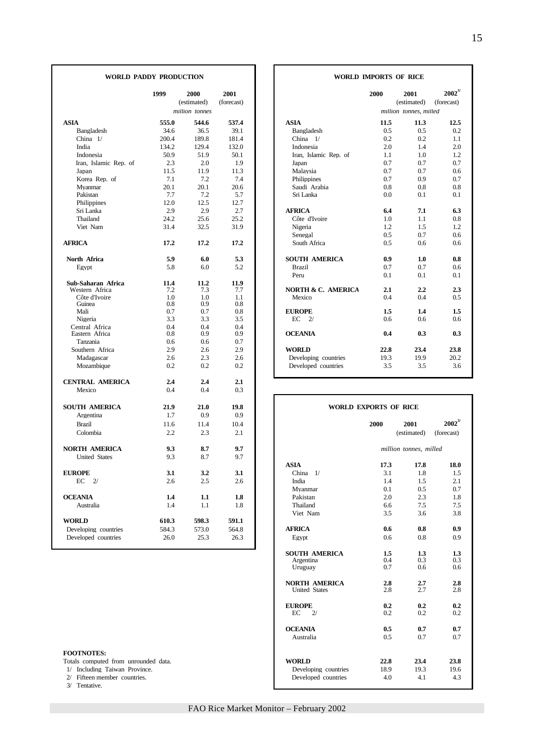|                                             | 1999           | 2000<br>(estimated) | 2001<br>(forecast) |                               | 2000                         | 2001<br>(estimated)    | $2002^3$<br>(forecast) |
|---------------------------------------------|----------------|---------------------|--------------------|-------------------------------|------------------------------|------------------------|------------------------|
|                                             |                | million tonnes      |                    |                               |                              | million tonnes, milled |                        |
| ASIA                                        | 555.0          | 544.6               | 537.4              | <b>ASIA</b>                   | 11.5                         | 11.3                   | 12.5                   |
| Bangladesh                                  | 34.6           | 36.5                | 39.1               | Bangladesh                    | 0.5                          | 0.5                    | 0.2                    |
| China 1/                                    | 200.4          | 189.8               | 181.4              | China $1/$                    | 0.2                          | 0.2                    | 1.1                    |
| India                                       | 134.2          | 129.4               | 132.0              | Indonesia                     | 2.0                          | 1.4                    | 2.0                    |
| Indonesia                                   | 50.9           | 51.9                | 50.1               | Iran, Islamic Rep. of         | 1.1                          | 1.0                    | 1.2                    |
| Iran, Islamic Rep. of                       | 2.3            | 2.0                 | 1.9                | Japan                         | 0.7                          | 0.7                    | 0.7                    |
| Japan                                       | 11.5           | 11.9                | 11.3               | Malaysia                      | 0.7                          | 0.7                    | 0.6                    |
| Korea Rep. of                               | 7.1            | 7.2                 | 7.4                | Philippines                   | 0.7                          | 0.9                    | 0.7                    |
| Mvanmar                                     | 20.1           | 20.1                | 20.6               | Saudi Arabia                  | 0.8                          | 0.8                    | 0.8                    |
| Pakistan                                    | 7.7            | 7.2                 | 5.7                | Sri Lanka                     | 0.0                          | 0.1                    | 0.1                    |
| Philippines                                 | 12.0           | 12.5                | 12.7               |                               |                              |                        |                        |
| Sri Lanka                                   | 2.9            | 2.9                 | 2.7                | <b>AFRICA</b>                 | 6.4                          | 7.1                    | 6.3                    |
| Thailand                                    | 24.2           | 25.6                | 25.2               | Côte d'Ivoire                 | 1.0                          | 1.1                    | 0.8                    |
| Viet Nam                                    | 31.4           | 32.5                | 31.9               | Nigeria                       | 1.2                          | 1.5                    | 1.2                    |
|                                             |                |                     |                    | Senegal                       | 0.5                          | 0.7                    | 0.6                    |
| <b>AFRICA</b>                               | 17.2           | 17.2                | 17.2               | South Africa                  | 0.5                          | 0.6                    | 0.6                    |
|                                             |                |                     |                    |                               |                              |                        |                        |
| North Africa                                | 5.9            | 6.0                 | 5.3                | <b>SOUTH AMERICA</b>          | 0.9                          | 1.0                    | 0.8                    |
| Egypt                                       | 5.8            | 6.0                 | 5.2                | <b>Brazil</b>                 | 0.7                          | 0.7                    | 0.6                    |
|                                             |                |                     |                    | Peru                          | 0.1                          | 0.1                    | 0.1                    |
| Sub-Saharan Africa                          | 11.4           | 11.2                | 11.9               |                               |                              |                        |                        |
| Western Africa                              | 7.2            | 7.3                 | 7.7                | <b>NORTH &amp; C. AMERICA</b> | 2.1                          | 2.2                    | 2.3                    |
| Côte d'Ivoire                               | 1.0            | 1.0                 | 1.1                | Mexico                        | 0.4                          | 0.4                    | 0.5                    |
| Guinea                                      | 0.8            | 0.9                 | 0.8                |                               |                              |                        |                        |
| Mali                                        | 0.7            | 0.7                 | 0.8                | <b>EUROPE</b>                 | 1.5                          | 1.4                    | 1.5                    |
| Nigeria                                     | 3.3            | 3.3                 | 3.5                | EC<br>2/                      | 0.6                          | 0.6                    | 0.6                    |
| Central Africa<br>Eastern Africa            | 0.4<br>0.8     | 0.4<br>0.9          | 0.4<br>0.9         | <b>OCEANIA</b>                | 0.4                          | 0.3                    | 0.3                    |
| Tanzania                                    | 0.6            | 0.6                 | 0.7                |                               |                              |                        |                        |
| Southern Africa                             | 2.9            | 2.6                 | 2.9                | <b>WORLD</b>                  | 22.8                         | 23.4                   | 23.8                   |
| Madagascar                                  | 2.6            | 2.3                 | 2.6                | Developing countries          | 19.3                         | 19.9                   | 20.2                   |
| Mozambique                                  | 0.2            | 0.2                 | 0.2                | Developed countries           | 3.5                          | 3.5                    | 3.6                    |
|                                             |                |                     |                    |                               |                              |                        |                        |
| <b>CENTRAL AMERICA</b>                      | 2.4            | 2.4                 | 2.1                |                               |                              |                        |                        |
| Mexico                                      | 0.4            | 0.4                 | 0.3                |                               |                              |                        |                        |
|                                             |                |                     |                    |                               |                              |                        |                        |
| <b>SOUTH AMERICA</b>                        | 21.9           | 21.0                | 19.8               |                               | <b>WORLD EXPORTS OF RICE</b> |                        |                        |
| Argentina                                   | 1.7            | 0.9                 | 0.9                |                               |                              |                        |                        |
| <b>Brazil</b>                               | 11.6           | 11.4                | 10.4               |                               | 2000                         | 2001                   | $2002^{3/2}$           |
| Colombia                                    | 2.2            | 2.3                 | 2.1                |                               |                              | (estimated)            | (forecast)             |
|                                             |                |                     |                    |                               |                              |                        |                        |
| <b>NORTH AMERICA</b>                        | 9.3            | 8.7                 | 9.7                |                               |                              | million tonnes, milled |                        |
| <b>United States</b>                        | 9.3            | 8.7                 | 9.7                |                               |                              |                        |                        |
|                                             |                |                     |                    | <b>ASIA</b>                   | 17.3                         | 17.8                   | 18.0                   |
| <b>EUROPE</b>                               | 3.1            | 3.2                 | 3.1                | China $1/$                    | 3.1                          | 1.8                    | 1.5                    |
| EC<br>2/                                    | 2.6            | 2.5                 | 2.6                | India                         | 1.4                          | 1.5                    | 2.1                    |
|                                             |                |                     |                    | Mvanmar                       | 0.1                          | 0.5                    | 0.7                    |
| <b>OCEANIA</b>                              | 1.4            | 1.1                 | 1.8                | Pakistan                      | 2.0                          | 2.3                    | 1.8                    |
| Australia                                   | 1.4            | 1.1                 | 1.8                | Thailand                      | 6.6                          | 7.5                    | 7.5                    |
| <b>WORLD</b>                                |                | 598.3               | 591.1              | Viet Nam                      | 3.5                          | 3.6                    | 3.8                    |
|                                             | 610.3<br>584.3 |                     |                    | <b>AFRICA</b>                 | 0.6                          | 0.8                    | 0.9                    |
| Developing countries<br>Developed countries | 26.0           | 573.0<br>25.3       | 564.8<br>26.3      |                               | 0.6                          | 0.8                    | 0.9                    |
|                                             |                |                     |                    | Egypt                         |                              |                        |                        |

#### **FOOTNOTES:**

3/ Tentative.

### **WORLD PADDY PRODUCTION WORLD IMPORTS OF RICE**

| 1999        | 2000           | 2001        |                               | 2000 | 2001                   | $2002^{3/2}$ |
|-------------|----------------|-------------|-------------------------------|------|------------------------|--------------|
|             | (estimated)    | (forecast)  |                               |      | (estimated)            | (forecast)   |
|             | million tonnes |             |                               |      | million tonnes, milled |              |
| 555.0       | 544.6          | 537.4       | <b>ASIA</b>                   | 11.5 | 11.3                   |              |
| 34.6        | 36.5           | 39.1        | Bangladesh                    | 0.5  | 0.5                    |              |
| 200.4       | 189.8          | 181.4       | China 1/                      | 0.2  | 0.2                    |              |
| 134.2       | 129.4          | 132.0       | Indonesia                     | 2.0  | 1.4                    |              |
| 50.9        | 51.9           | 50.1        | Iran, Islamic Rep. of         | 1.1  | 1.0                    |              |
| 2.3         | 2.0            | 1.9         | Japan                         | 0.7  | 0.7                    |              |
| 11.5        | 11.9           | 11.3        | Malaysia                      | 0.7  | 0.7                    |              |
| 7.1         | 7.2            | 7.4         | Philippines                   | 0.7  | 0.9                    |              |
| 20.1        | 20.1           | 20.6        | Saudi Arabia                  | 0.8  | 0.8                    |              |
| 7.7         | 7.2            | 5.7         | Sri Lanka                     | 0.0  | 0.1                    |              |
| 12.0        | 12.5           | 12.7        |                               |      |                        |              |
| 2.9         | 2.9            | 2.7         | <b>AFRICA</b>                 | 6.4  | 7.1                    |              |
| 24.2        | 25.6           | 25.2        | Côte d'Ivoire                 | 1.0  | 1.1                    |              |
| 31.4        | 32.5           | 31.9        | Nigeria                       | 1.2  | 1.5                    |              |
|             |                |             | Senegal                       | 0.5  | 0.7                    |              |
| 17.2        | 17.2           | 17.2        | South Africa                  | 0.5  | 0.6                    |              |
| 5.9         | 6.0            | 5.3         | <b>SOUTH AMERICA</b>          | 0.9  | 1.0                    |              |
| 5.8         | 6.0            | 5.2         | <b>Brazil</b>                 | 0.7  | 0.7                    |              |
|             |                |             | Peru                          | 0.1  | 0.1                    |              |
| 11.4<br>7.2 | 11.2<br>7.3    | 11.9<br>7.7 | <b>NORTH &amp; C. AMERICA</b> | 2.1  | 2.2                    |              |
| 1.0         | 1.0            | 1.1         | Mexico                        | 0.4  | 0.4                    |              |
| 0.8         | 0.9            | 0.8         |                               |      |                        |              |
| 0.7         | 0.7            | 0.8         | <b>EUROPE</b>                 | 1.5  | 1.4                    |              |
| 3.3         | 3.3            | 3.5         | EC<br>2/                      | 0.6  | 0.6                    |              |
| 0.4         | 0.4            | 0.4         |                               |      |                        |              |
| 0.8         | 0.9            | 0.9         | <b>OCEANIA</b>                | 0.4  | 0.3                    |              |
| 0.6         | 0.6            | 0.7         |                               |      |                        |              |
| 2.9         | 2.6            | 2.9         | <b>WORLD</b>                  | 22.8 | 23.4                   |              |
| 2.6         | 2.3            | 2.6         | Developing countries          | 19.3 | 19.9                   |              |
| 0.2         | 0.2            | 0.2         | Developed countries           | 3.5  | 3.5                    |              |

| <b>SOUTH AMERICA</b>                                | 21.9  | 21.0  | 19.8  |                      | <b>WORLD EXPORTS OF RICE</b> |                        |  |
|-----------------------------------------------------|-------|-------|-------|----------------------|------------------------------|------------------------|--|
| Argentina                                           | 1.7   | 0.9   | 0.9   |                      |                              |                        |  |
| <b>Brazil</b>                                       | 11.6  | 11.4  | 10.4  |                      | 2000                         | 2001                   |  |
| Colombia                                            | 2.2   | 2.3   | 2.1   |                      |                              | (estimated)            |  |
| NORTH AMERICA                                       | 9.3   | 8.7   | 9.7   |                      |                              | million tonnes, milled |  |
| <b>United States</b>                                | 9.3   | 8.7   | 9.7   |                      |                              |                        |  |
|                                                     |       |       |       | <b>ASIA</b>          | 17.3                         | 17.8                   |  |
| <b>EUROPE</b>                                       | 3.1   | 3.2   | 3.1   | China $1/$           | 3.1                          | 1.8                    |  |
| $EC$ 2/                                             | 2.6   | 2.5   | 2.6   | India                | 1.4                          | 1.5                    |  |
|                                                     |       |       |       | Mvanmar              | 0.1                          | 0.5                    |  |
| <b>OCEANIA</b>                                      | 1.4   | 1.1   | 1.8   | Pakistan             | 2.0                          | 2.3                    |  |
| Australia                                           | 1.4   | 1.1   | 1.8   | Thailand             | 6.6                          | 7.5                    |  |
|                                                     |       |       |       | Viet Nam             | 3.5                          | 3.6                    |  |
| WORLD                                               | 610.3 | 598.3 | 591.1 |                      |                              |                        |  |
| Developing countries                                | 584.3 | 573.0 | 564.8 | <b>AFRICA</b>        | 0.6                          | 0.8                    |  |
| Developed countries                                 | 26.0  | 25.3  | 26.3  | Egypt                | 0.6                          | 0.8                    |  |
|                                                     |       |       |       | <b>SOUTH AMERICA</b> | 1.5                          | 1.3                    |  |
|                                                     |       |       |       | Argentina            | 0.4                          | 0.3                    |  |
|                                                     |       |       |       | Uruguay              | 0.7                          | 0.6                    |  |
|                                                     |       |       |       | <b>NORTH AMERICA</b> | 2.8                          | 2.7                    |  |
|                                                     |       |       |       | <b>United States</b> | 2.8                          | 2.7                    |  |
|                                                     |       |       |       | <b>EUROPE</b>        | 0.2                          | 0.2                    |  |
|                                                     |       |       |       | EC<br>2/             | 0.2                          | 0.2                    |  |
|                                                     |       |       |       | <b>OCEANIA</b>       | 0.5                          | 0.7                    |  |
|                                                     |       |       |       | Australia            | 0.5                          | 0.7                    |  |
| <b>FOOTNOTES:</b>                                   |       |       |       |                      |                              |                        |  |
| Totals computed from unrounded data.                |       |       |       | <b>WORLD</b>         | 22.8                         | 23.4                   |  |
| 1/ Including Taiwan Province.                       |       |       |       | Developing countries | 18.9                         | 19.3                   |  |
| 2/ Fifteen member countries.<br>$20.5$ Theorem 2014 |       |       |       | Developed countries  | 4.0                          | 4.1                    |  |
|                                                     |       |       |       |                      |                              |                        |  |